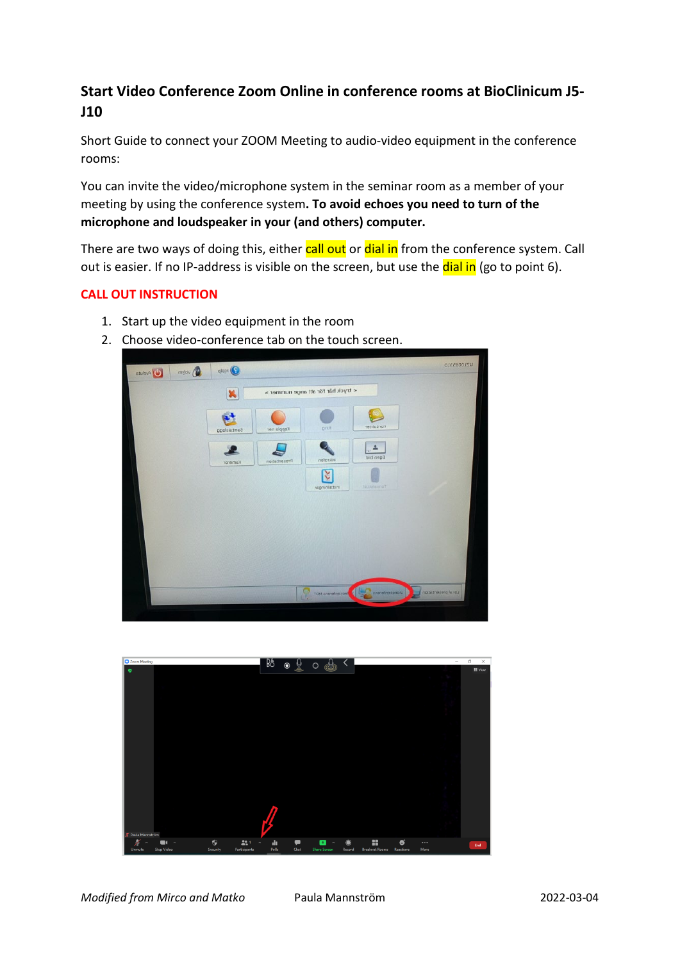## **Start Video Conference Zoom Online in conference rooms at BioClinicum J5- J10**

Short Guide to connect your ZOOM Meeting to audio-video equipment in the conference rooms:

You can invite the video/microphone system in the seminar room as a member of your meeting by using the conference system**. To avoid echoes you need to turn of the microphone and loudspeaker in your (and others) computer.**

There are two ways of doing this, either **call out** or **dial in** from the conference system. Call out is easier. If no IP-address is visible on the screen, but use the dial in (go to point 6).

## **CALL OUT INSTRUCTION**

- 1. Start up the video equipment in the room
- 2. Choose video-conference tab on the touch screen.



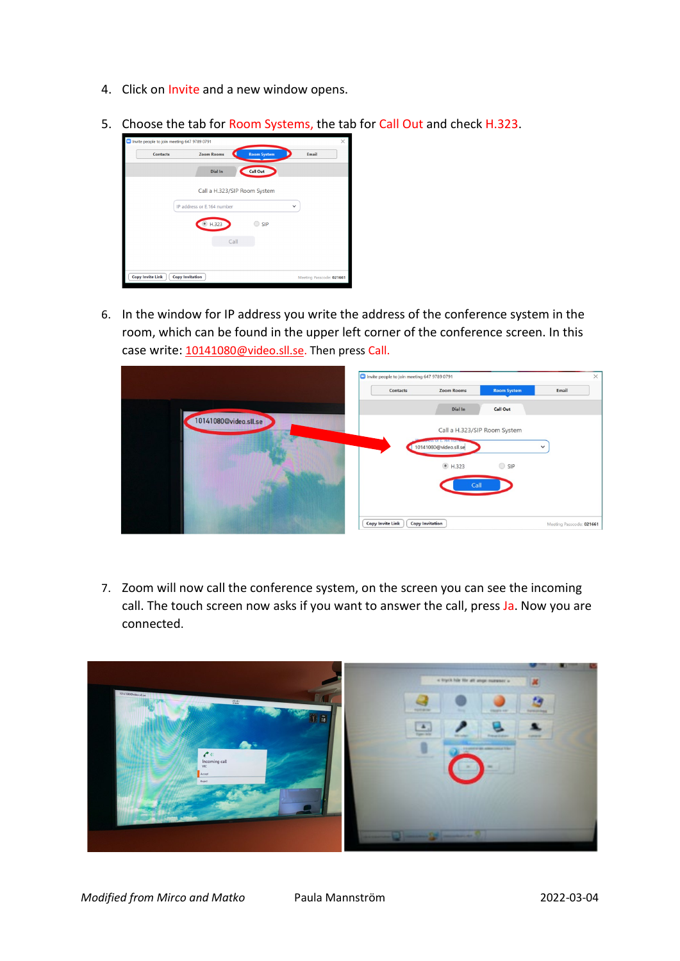- 4. Click on Invite and a new window opens.
- 5. Choose the tab for Room Systems, the tab for Call Out and check H.323.



6. In the window for IP address you write the address of the conference system in the room, which can be found in the upper left corner of the conference screen. In this case write: 10141080@video.sll.se</u>. Then press Call.

|                       | Invite people to join meeting 647 9789 0791<br>Contacts | <b>Zoom Rooms</b>                                                | <b>Room System</b> | $\times$<br>Email        |
|-----------------------|---------------------------------------------------------|------------------------------------------------------------------|--------------------|--------------------------|
|                       |                                                         | Dial In                                                          | <b>Call Out</b>    |                          |
| 10141080@video.sll.se |                                                         | Call a H.323/SIP Room System                                     |                    |                          |
|                       |                                                         | <b><i><u>RESS OF ETION Humo</u></i></b><br>10141080@video.sll.se |                    | $\check{~}$              |
|                       |                                                         | C H.323                                                          | $\bigcirc$ SIP     |                          |
|                       |                                                         | Call                                                             |                    |                          |
|                       |                                                         |                                                                  |                    |                          |
|                       | <b>Copy Invite Link</b>                                 | <b>Copy Invitation</b>                                           |                    | Meeting Passcode: 021661 |

7. Zoom will now call the conference system, on the screen you can see the incoming call. The touch screen now asks if you want to answer the call, press Ja. Now you are connected.

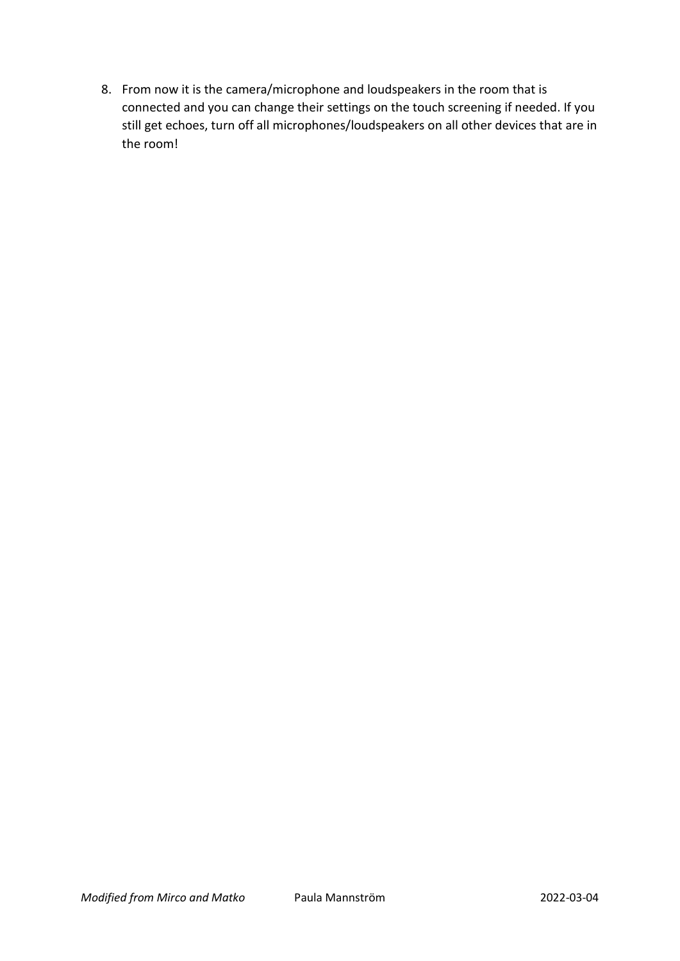8. From now it is the camera/microphone and loudspeakers in the room that is connected and you can change their settings on the touch screening if needed. If you still get echoes, turn off all microphones/loudspeakers on all other devices that are in the room!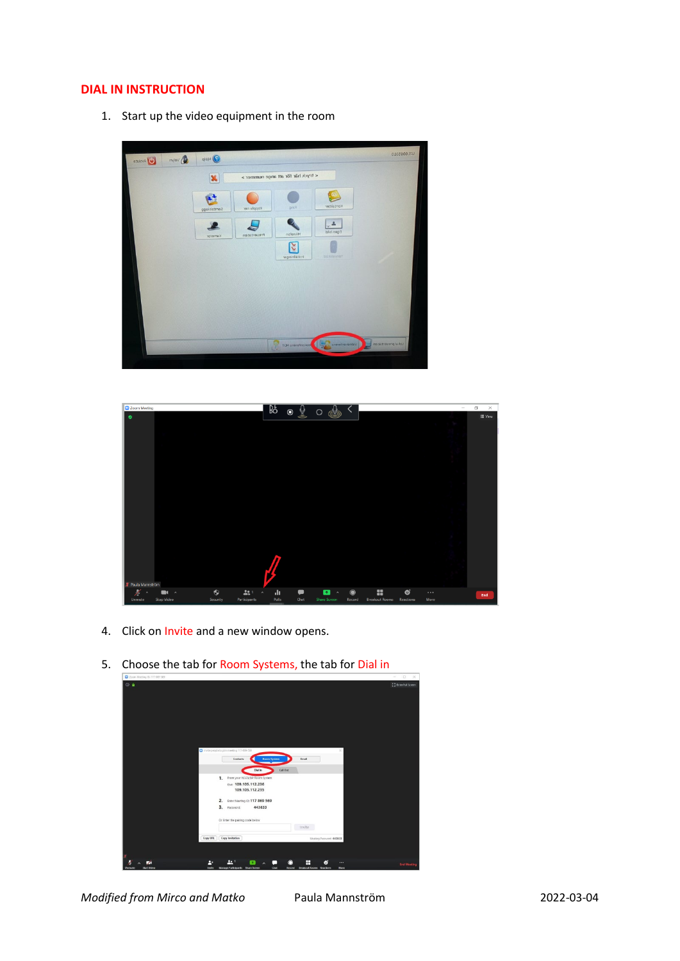## **DIAL IN INSTRUCTION**

1. Start up the video equipment in the room





- 4. Click on Invite and a new window opens.
- 5. Choose the tab for Room Systems, the tab for Dial in